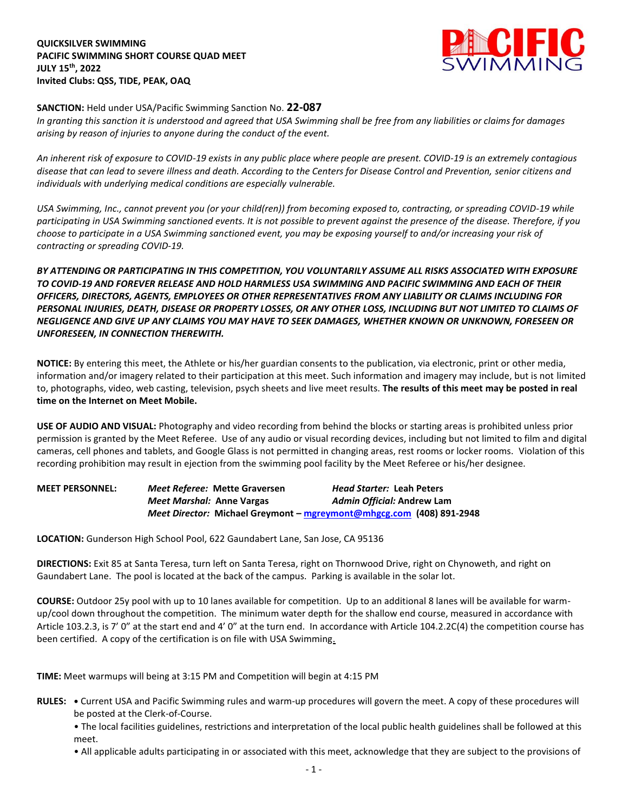**QUICKSILVER SWIMMING PACIFIC SWIMMING SHORT COURSE QUAD MEET JULY 15th, 2022 Invited Clubs: QSS, TIDE, PEAK, OAQ**



## **SANCTION:** Held under USA/Pacific Swimming Sanction No. **22-087**

*In granting this sanction it is understood and agreed that USA Swimming shall be free from any liabilities or claims for damages arising by reason of injuries to anyone during the conduct of the event.* 

*An inherent risk of exposure to COVID-19 exists in any public place where people are present. COVID-19 is an extremely contagious disease that can lead to severe illness and death. According to the Centers for Disease Control and Prevention, senior citizens and individuals with underlying medical conditions are especially vulnerable.*

*USA Swimming, Inc., cannot prevent you (or your child(ren)) from becoming exposed to, contracting, or spreading COVID-19 while participating in USA Swimming sanctioned events. It is not possible to prevent against the presence of the disease. Therefore, if you choose to participate in a USA Swimming sanctioned event, you may be exposing yourself to and/or increasing your risk of contracting or spreading COVID-19.*

*BY ATTENDING OR PARTICIPATING IN THIS COMPETITION, YOU VOLUNTARILY ASSUME ALL RISKS ASSOCIATED WITH EXPOSURE TO COVID-19 AND FOREVER RELEASE AND HOLD HARMLESS USA SWIMMING AND PACIFIC SWIMMING AND EACH OF THEIR OFFICERS, DIRECTORS, AGENTS, EMPLOYEES OR OTHER REPRESENTATIVES FROM ANY LIABILITY OR CLAIMS INCLUDING FOR PERSONAL INJURIES, DEATH, DISEASE OR PROPERTY LOSSES, OR ANY OTHER LOSS, INCLUDING BUT NOT LIMITED TO CLAIMS OF NEGLIGENCE AND GIVE UP ANY CLAIMS YOU MAY HAVE TO SEEK DAMAGES, WHETHER KNOWN OR UNKNOWN, FORESEEN OR UNFORESEEN, IN CONNECTION THEREWITH.*

**NOTICE:** By entering this meet, the Athlete or his/her guardian consents to the publication, via electronic, print or other media, information and/or imagery related to their participation at this meet. Such information and imagery may include, but is not limited to, photographs, video, web casting, television, psych sheets and live meet results. **The results of this meet may be posted in real time on the Internet on Meet Mobile.**

**USE OF AUDIO AND VISUAL:** Photography and video recording from behind the blocks or starting areas is prohibited unless prior permission is granted by the Meet Referee. Use of any audio or visual recording devices, including but not limited to film and digital cameras, cell phones and tablets, and Google Glass is not permitted in changing areas, rest rooms or locker rooms. Violation of this recording prohibition may result in ejection from the swimming pool facility by the Meet Referee or his/her designee.

| <b>MEET PERSONNEL:</b> |                           | Meet Referee: Mette Graversen                                        | <b>Head Starter: Leah Peters</b> |  |
|------------------------|---------------------------|----------------------------------------------------------------------|----------------------------------|--|
|                        | Meet Marshal: Anne Vargas |                                                                      | Admin Official: Andrew Lam       |  |
|                        |                           | Meet Director: Michael Greymont - mgreymont@mhgcg.com (408) 891-2948 |                                  |  |

**LOCATION:** Gunderson High School Pool, 622 Gaundabert Lane, San Jose, CA 95136

**DIRECTIONS:** Exit 85 at Santa Teresa, turn left on Santa Teresa, right on Thornwood Drive, right on Chynoweth, and right on Gaundabert Lane. The pool is located at the back of the campus. Parking is available in the solar lot.

**COURSE:** Outdoor 25y pool with up to 10 lanes available for competition. Up to an additional 8 lanes will be available for warmup/cool down throughout the competition. The minimum water depth for the shallow end course, measured in accordance with Article 103.2.3, is 7' 0" at the start end and 4' 0" at the turn end. In accordance with Article 104.2.2C(4) the competition course has been certified. A copy of the certification is on file with USA Swimming.

**TIME:** Meet warmups will being at 3:15 PM and Competition will begin at 4:15 PM

- **RULES: •** Current USA and Pacific Swimming rules and warm-up procedures will govern the meet. A copy of these procedures will be posted at the Clerk-of-Course.
	- The local facilities guidelines, restrictions and interpretation of the local public health guidelines shall be followed at this meet.
	- All applicable adults participating in or associated with this meet, acknowledge that they are subject to the provisions of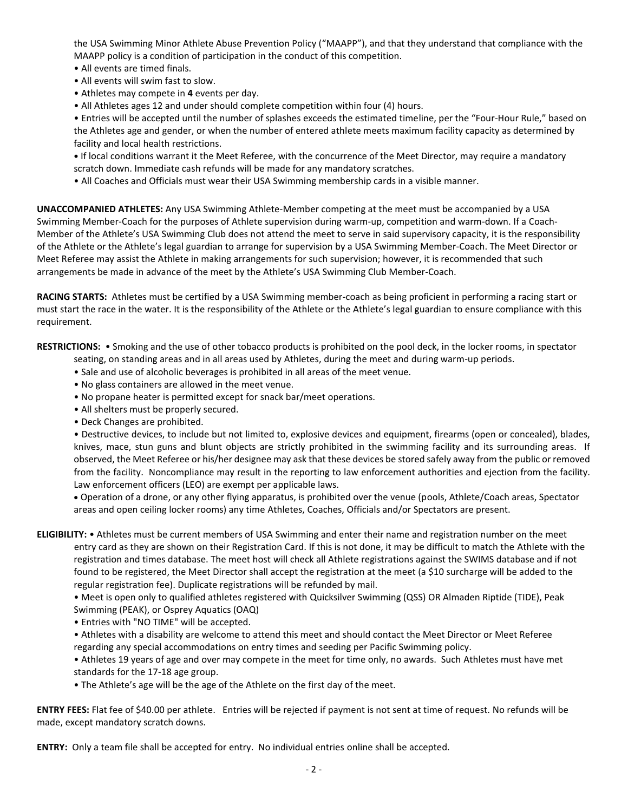the USA Swimming Minor Athlete Abuse Prevention Policy ("MAAPP"), and that they understand that compliance with the MAAPP policy is a condition of participation in the conduct of this competition.

- All events are timed finals.
- All events will swim fast to slow.
- Athletes may compete in **4** events per day.
- All Athletes ages 12 and under should complete competition within four (4) hours.

• Entries will be accepted until the number of splashes exceeds the estimated timeline, per the "Four-Hour Rule," based on the Athletes age and gender, or when the number of entered athlete meets maximum facility capacity as determined by facility and local health restrictions.

**•** If local conditions warrant it the Meet Referee, with the concurrence of the Meet Director, may require a mandatory scratch down. Immediate cash refunds will be made for any mandatory scratches.

• All Coaches and Officials must wear their USA Swimming membership cards in a visible manner.

**UNACCOMPANIED ATHLETES:** Any USA Swimming Athlete-Member competing at the meet must be accompanied by a USA Swimming Member-Coach for the purposes of Athlete supervision during warm-up, competition and warm-down. If a Coach-Member of the Athlete's USA Swimming Club does not attend the meet to serve in said supervisory capacity, it is the responsibility of the Athlete or the Athlete's legal guardian to arrange for supervision by a USA Swimming Member-Coach. The Meet Director or Meet Referee may assist the Athlete in making arrangements for such supervision; however, it is recommended that such arrangements be made in advance of the meet by the Athlete's USA Swimming Club Member-Coach.

**RACING STARTS:** Athletes must be certified by a USA Swimming member-coach as being proficient in performing a racing start or must start the race in the water. It is the responsibility of the Athlete or the Athlete's legal guardian to ensure compliance with this requirement.

**RESTRICTIONS:** • Smoking and the use of other tobacco products is prohibited on the pool deck, in the locker rooms, in spectator

seating, on standing areas and in all areas used by Athletes, during the meet and during warm-up periods.

- Sale and use of alcoholic beverages is prohibited in all areas of the meet venue.
- No glass containers are allowed in the meet venue.
- No propane heater is permitted except for snack bar/meet operations.
- All shelters must be properly secured.
- Deck Changes are prohibited.

• Destructive devices, to include but not limited to, explosive devices and equipment, firearms (open or concealed), blades, knives, mace, stun guns and blunt objects are strictly prohibited in the swimming facility and its surrounding areas. If observed, the Meet Referee or his/her designee may ask that these devices be stored safely away from the public or removed from the facility. Noncompliance may result in the reporting to law enforcement authorities and ejection from the facility. Law enforcement officers (LEO) are exempt per applicable laws.

 Operation of a drone, or any other flying apparatus, is prohibited over the venue (pools, Athlete/Coach areas, Spectator areas and open ceiling locker rooms) any time Athletes, Coaches, Officials and/or Spectators are present.

**ELIGIBILITY:** • Athletes must be current members of USA Swimming and enter their name and registration number on the meet entry card as they are shown on their Registration Card. If this is not done, it may be difficult to match the Athlete with the registration and times database. The meet host will check all Athlete registrations against the SWIMS database and if not found to be registered, the Meet Director shall accept the registration at the meet (a \$10 surcharge will be added to the regular registration fee). Duplicate registrations will be refunded by mail.

• Meet is open only to qualified athletes registered with Quicksilver Swimming (QSS) OR Almaden Riptide (TIDE), Peak Swimming (PEAK), or Osprey Aquatics (OAQ)

• Entries with "NO TIME" will be accepted.

• Athletes with a disability are welcome to attend this meet and should contact the Meet Director or Meet Referee regarding any special accommodations on entry times and seeding per Pacific Swimming policy.

• Athletes 19 years of age and over may compete in the meet for time only, no awards. Such Athletes must have met standards for the 17-18 age group.

• The Athlete's age will be the age of the Athlete on the first day of the meet.

**ENTRY FEES:** Flat fee of \$40.00 per athlete. Entries will be rejected if payment is not sent at time of request. No refunds will be made, except mandatory scratch downs.

**ENTRY:** Only a team file shall be accepted for entry. No individual entries online shall be accepted.